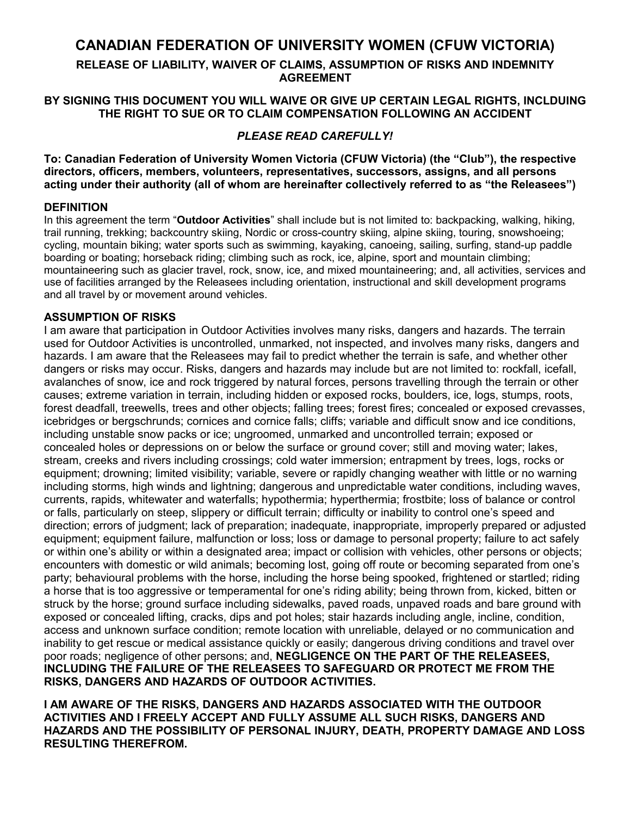# **CANADIAN FEDERATION OF UNIVERSITY WOMEN (CFUW VICTORIA)**

**RELEASE OF LIABILITY, WAIVER OF CLAIMS, ASSUMPTION OF RISKS AND INDEMNITY AGREEMENT**

## **BY SIGNING THIS DOCUMENT YOU WILL WAIVE OR GIVE UP CERTAIN LEGAL RIGHTS, INCLDUING THE RIGHT TO SUE OR TO CLAIM COMPENSATION FOLLOWING AN ACCIDENT**

## *PLEASE READ CAREFULLY!*

**To: Canadian Federation of University Women Victoria (CFUW Victoria) (the "Club"), the respective directors, officers, members, volunteers, representatives, successors, assigns, and all persons acting under their authority (all of whom are hereinafter collectively referred to as "the Releasees")**

## **DEFINITION**

In this agreement the term "**Outdoor Activities**" shall include but is not limited to: backpacking, walking, hiking, trail running, trekking; backcountry skiing, Nordic or cross-country skiing, alpine skiing, touring, snowshoeing; cycling, mountain biking; water sports such as swimming, kayaking, canoeing, sailing, surfing, stand-up paddle boarding or boating; horseback riding; climbing such as rock, ice, alpine, sport and mountain climbing; mountaineering such as glacier travel, rock, snow, ice, and mixed mountaineering; and, all activities, services and use of facilities arranged by the Releasees including orientation, instructional and skill development programs and all travel by or movement around vehicles.

## **ASSUMPTION OF RISKS**

I am aware that participation in Outdoor Activities involves many risks, dangers and hazards. The terrain used for Outdoor Activities is uncontrolled, unmarked, not inspected, and involves many risks, dangers and hazards. I am aware that the Releasees may fail to predict whether the terrain is safe, and whether other dangers or risks may occur. Risks, dangers and hazards may include but are not limited to: rockfall, icefall, avalanches of snow, ice and rock triggered by natural forces, persons travelling through the terrain or other causes; extreme variation in terrain, including hidden or exposed rocks, boulders, ice, logs, stumps, roots, forest deadfall, treewells, trees and other objects; falling trees; forest fires; concealed or exposed crevasses, icebridges or bergschrunds; cornices and cornice falls; cliffs; variable and difficult snow and ice conditions, including unstable snow packs or ice; ungroomed, unmarked and uncontrolled terrain; exposed or concealed holes or depressions on or below the surface or ground cover; still and moving water; lakes, stream, creeks and rivers including crossings; cold water immersion; entrapment by trees, logs, rocks or equipment; drowning; limited visibility; variable, severe or rapidly changing weather with little or no warning including storms, high winds and lightning; dangerous and unpredictable water conditions, including waves, currents, rapids, whitewater and waterfalls; hypothermia; hyperthermia; frostbite; loss of balance or control or falls, particularly on steep, slippery or difficult terrain; difficulty or inability to control one's speed and direction; errors of judgment; lack of preparation; inadequate, inappropriate, improperly prepared or adjusted equipment; equipment failure, malfunction or loss; loss or damage to personal property; failure to act safely or within one's ability or within a designated area; impact or collision with vehicles, other persons or objects; encounters with domestic or wild animals; becoming lost, going off route or becoming separated from one's party; behavioural problems with the horse, including the horse being spooked, frightened or startled; riding a horse that is too aggressive or temperamental for one's riding ability; being thrown from, kicked, bitten or struck by the horse; ground surface including sidewalks, paved roads, unpaved roads and bare ground with exposed or concealed lifting, cracks, dips and pot holes; stair hazards including angle, incline, condition, access and unknown surface condition; remote location with unreliable, delayed or no communication and inability to get rescue or medical assistance quickly or easily; dangerous driving conditions and travel over poor roads; negligence of other persons; and, **NEGLIGENCE ON THE PART OF THE RELEASEES, INCLUDING THE FAILURE OF THE RELEASEES TO SAFEGUARD OR PROTECT ME FROM THE RISKS, DANGERS AND HAZARDS OF OUTDOOR ACTIVITIES.**

**I AM AWARE OF THE RISKS, DANGERS AND HAZARDS ASSOCIATED WITH THE OUTDOOR ACTIVITIES AND I FREELY ACCEPT AND FULLY ASSUME ALL SUCH RISKS, DANGERS AND HAZARDS AND THE POSSIBILITY OF PERSONAL INJURY, DEATH, PROPERTY DAMAGE AND LOSS RESULTING THEREFROM.**